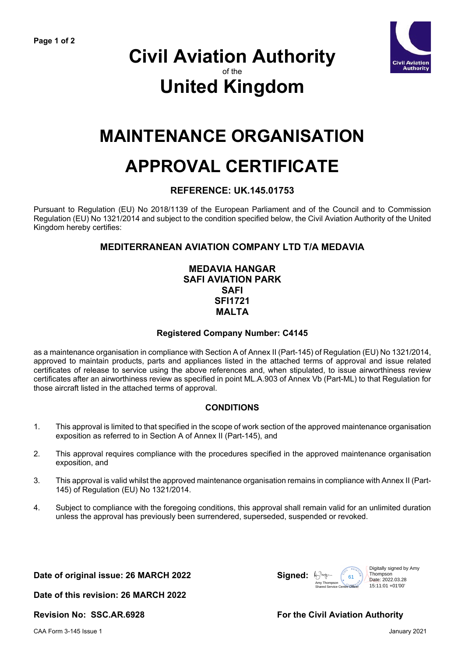

### **Civil Aviation Authority** of the **United Kingdom**

## **MAINTENANCE ORGANISATION**

# **APPROVAL CERTIFICATE**

#### **REFERENCE: UK.145.01753**

Pursuant to Regulation (EU) No 2018/1139 of the European Parliament and of the Council and to Commission Regulation (EU) No 1321/2014 and subject to the condition specified below, the Civil Aviation Authority of the United Kingdom hereby certifies:

#### **MEDITERRANEAN AVIATION COMPANY LTD T/A MEDAVIA**

#### **MEDAVIA HANGAR SAFI AVIATION PARK SAFI SFI1721 MALTA**

#### **Registered Company Number: C4145**

as a maintenance organisation in compliance with Section A of Annex II (Part-145) of Regulation (EU) No 1321/2014, approved to maintain products, parts and appliances listed in the attached terms of approval and issue related certificates of release to service using the above references and, when stipulated, to issue airworthiness review certificates after an airworthiness review as specified in point ML.A.903 of Annex Vb (Part-ML) to that Regulation for those aircraft listed in the attached terms of approval.

#### **CONDITIONS**

- 1. This approval is limited to that specified in the scope of work section of the approved maintenance organisation exposition as referred to in Section A of Annex II (Part-145), and
- 2. This approval requires compliance with the procedures specified in the approved maintenance organisation exposition, and
- 3. This approval is valid whilst the approved maintenance organisation remains in compliance with Annex II (Part-145) of Regulation (EU) No 1321/2014.
- 4. Subject to compliance with the foregoing conditions, this approval shall remain valid for an unlimited duration unless the approval has previously been surrendered, superseded, suspended or revoked.

**Date of original issue: 26 MARCH 2022 Signed:**



**Date of this revision: 26 MARCH 2022**

**Revision No: SSC.AR.6928 For the Civil Aviation Authority**